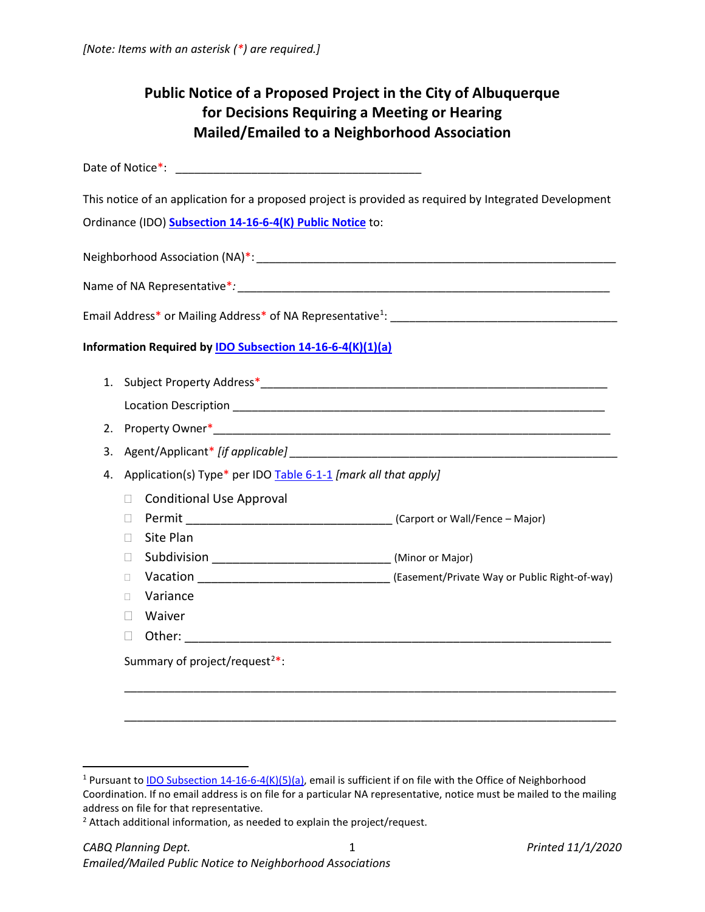## **Public Notice of a Proposed Project in the City of Albuquerque for Decisions Requiring a Meeting or Hearing Mailed/Emailed to a Neighborhood Association**

Date of Notice\*: \_\_\_\_\_\_\_\_\_\_\_\_\_\_\_\_\_\_\_\_\_\_\_\_\_\_\_\_\_\_\_\_\_\_\_\_\_\_\_

This notice of an application for a proposed project is provided as required by Integrated Development Ordinance (IDO) **[Subsection 14-16-6-4\(K\) Public Notice](https://ido.abc-zone.com/integrated-development-ordinance-ido#page=412)** to:

|    | Neighborhood Association (NA)*: Learning and the contract of the contract of the contract of the contract of the contract of the contract of the contract of the contract of the contract of the contract of the contract of t |  |  |
|----|--------------------------------------------------------------------------------------------------------------------------------------------------------------------------------------------------------------------------------|--|--|
|    |                                                                                                                                                                                                                                |  |  |
|    |                                                                                                                                                                                                                                |  |  |
|    | Information Required by <b>IDO Subsection 14-16-6-4(K)(1)(a)</b>                                                                                                                                                               |  |  |
|    |                                                                                                                                                                                                                                |  |  |
|    |                                                                                                                                                                                                                                |  |  |
|    |                                                                                                                                                                                                                                |  |  |
| 3. |                                                                                                                                                                                                                                |  |  |
| 4. | Application(s) Type* per IDO Table 6-1-1 [mark all that apply]                                                                                                                                                                 |  |  |
|    | <b>Conditional Use Approval</b><br>П                                                                                                                                                                                           |  |  |
|    | $\blacksquare$                                                                                                                                                                                                                 |  |  |
|    | Site Plan<br><b>Tale</b>                                                                                                                                                                                                       |  |  |
|    | $\Box$                                                                                                                                                                                                                         |  |  |
|    | $\Box$                                                                                                                                                                                                                         |  |  |
|    | Variance<br>П                                                                                                                                                                                                                  |  |  |
|    | Waiver                                                                                                                                                                                                                         |  |  |
|    | $\Box$                                                                                                                                                                                                                         |  |  |
|    | Summary of project/request <sup>2*</sup> :                                                                                                                                                                                     |  |  |

\_\_\_\_\_\_\_\_\_\_\_\_\_\_\_\_\_\_\_\_\_\_\_\_\_\_\_\_\_\_\_\_\_\_\_\_\_\_\_\_\_\_\_\_\_\_\_\_\_\_\_\_\_\_\_\_\_\_\_\_\_\_\_\_\_\_\_\_\_\_\_\_\_\_\_\_\_\_

\_\_\_\_\_\_\_\_\_\_\_\_\_\_\_\_\_\_\_\_\_\_\_\_\_\_\_\_\_\_\_\_\_\_\_\_\_\_\_\_\_\_\_\_\_\_\_\_\_\_\_\_\_\_\_\_\_\_\_\_\_\_\_\_\_\_\_\_\_\_\_\_\_\_\_\_\_\_

<span id="page-0-0"></span><sup>&</sup>lt;sup>1</sup> Pursuant to [IDO Subsection 14-16-6-4\(K\)\(5\)\(a\),](https://ido.abc-zone.com/integrated-development-ordinance-ido#page=416) email is sufficient if on file with the Office of Neighborhood Coordination. If no email address is on file for a particular NA representative, notice must be mailed to the mailing address on file for that representative.

<span id="page-0-1"></span><sup>&</sup>lt;sup>2</sup> Attach additional information, as needed to explain the project/request.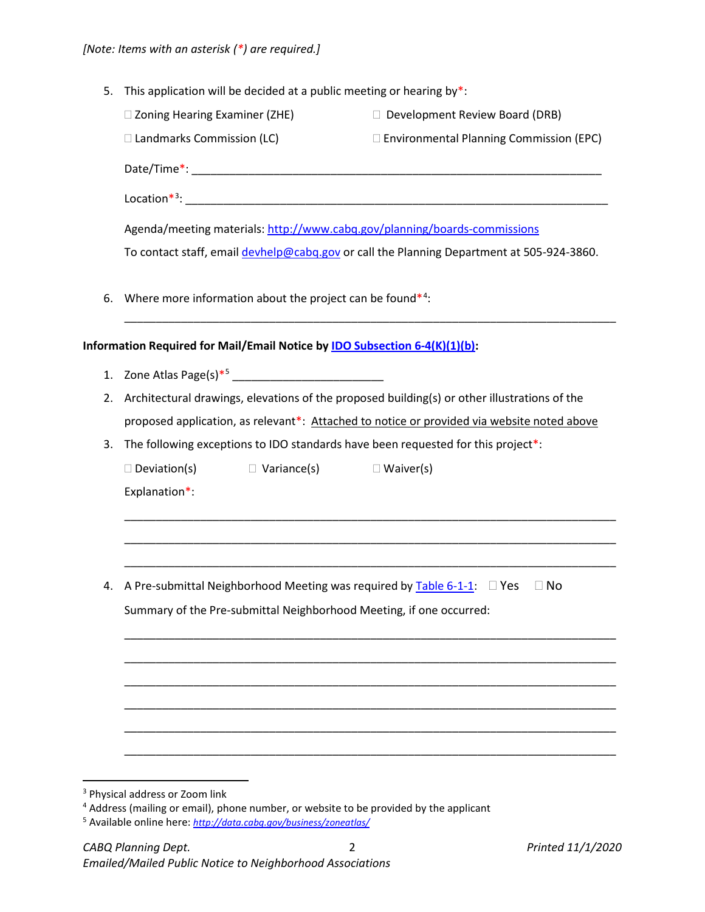| □ Zoning Hearing Examiner (ZHE)<br>Development Review Board (DRB)<br>□ Landmarks Commission (LC)<br>□ Environmental Planning Commission (EPC)<br>Agenda/meeting materials: http://www.cabq.gov/planning/boards-commissions<br>To contact staff, email devhelp@cabq.gov or call the Planning Department at 505-924-3860.<br>Where more information about the project can be found*4:<br>6.<br>Information Required for Mail/Email Notice by <b>IDO Subsection 6-4(K)(1)(b)</b> :<br>1. Zone Atlas Page(s) <sup>*5</sup> _____________________________<br>Architectural drawings, elevations of the proposed building(s) or other illustrations of the<br>2.<br>proposed application, as relevant*: Attached to notice or provided via website noted above<br>The following exceptions to IDO standards have been requested for this project*:<br>3.<br>$\Box$ Deviation(s)<br>$\Box$ Variance(s)<br>$\Box$ Waiver(s)<br>Explanation*:<br>A Pre-submittal Neighborhood Meeting was required by $\overline{\text{Table 6-1-1}}$ : $\Box$ Yes<br>$\Box$ No<br>4.<br>Summary of the Pre-submittal Neighborhood Meeting, if one occurred: | 5. |  | This application will be decided at a public meeting or hearing by*: |  |  |
|-------------------------------------------------------------------------------------------------------------------------------------------------------------------------------------------------------------------------------------------------------------------------------------------------------------------------------------------------------------------------------------------------------------------------------------------------------------------------------------------------------------------------------------------------------------------------------------------------------------------------------------------------------------------------------------------------------------------------------------------------------------------------------------------------------------------------------------------------------------------------------------------------------------------------------------------------------------------------------------------------------------------------------------------------------------------------------------------------------------------------------------|----|--|----------------------------------------------------------------------|--|--|
|                                                                                                                                                                                                                                                                                                                                                                                                                                                                                                                                                                                                                                                                                                                                                                                                                                                                                                                                                                                                                                                                                                                                     |    |  |                                                                      |  |  |
|                                                                                                                                                                                                                                                                                                                                                                                                                                                                                                                                                                                                                                                                                                                                                                                                                                                                                                                                                                                                                                                                                                                                     |    |  |                                                                      |  |  |
|                                                                                                                                                                                                                                                                                                                                                                                                                                                                                                                                                                                                                                                                                                                                                                                                                                                                                                                                                                                                                                                                                                                                     |    |  |                                                                      |  |  |
|                                                                                                                                                                                                                                                                                                                                                                                                                                                                                                                                                                                                                                                                                                                                                                                                                                                                                                                                                                                                                                                                                                                                     |    |  |                                                                      |  |  |
|                                                                                                                                                                                                                                                                                                                                                                                                                                                                                                                                                                                                                                                                                                                                                                                                                                                                                                                                                                                                                                                                                                                                     |    |  |                                                                      |  |  |
|                                                                                                                                                                                                                                                                                                                                                                                                                                                                                                                                                                                                                                                                                                                                                                                                                                                                                                                                                                                                                                                                                                                                     |    |  |                                                                      |  |  |
|                                                                                                                                                                                                                                                                                                                                                                                                                                                                                                                                                                                                                                                                                                                                                                                                                                                                                                                                                                                                                                                                                                                                     |    |  |                                                                      |  |  |
|                                                                                                                                                                                                                                                                                                                                                                                                                                                                                                                                                                                                                                                                                                                                                                                                                                                                                                                                                                                                                                                                                                                                     |    |  |                                                                      |  |  |
|                                                                                                                                                                                                                                                                                                                                                                                                                                                                                                                                                                                                                                                                                                                                                                                                                                                                                                                                                                                                                                                                                                                                     |    |  |                                                                      |  |  |
|                                                                                                                                                                                                                                                                                                                                                                                                                                                                                                                                                                                                                                                                                                                                                                                                                                                                                                                                                                                                                                                                                                                                     |    |  |                                                                      |  |  |
|                                                                                                                                                                                                                                                                                                                                                                                                                                                                                                                                                                                                                                                                                                                                                                                                                                                                                                                                                                                                                                                                                                                                     |    |  |                                                                      |  |  |
|                                                                                                                                                                                                                                                                                                                                                                                                                                                                                                                                                                                                                                                                                                                                                                                                                                                                                                                                                                                                                                                                                                                                     |    |  |                                                                      |  |  |
|                                                                                                                                                                                                                                                                                                                                                                                                                                                                                                                                                                                                                                                                                                                                                                                                                                                                                                                                                                                                                                                                                                                                     |    |  |                                                                      |  |  |
|                                                                                                                                                                                                                                                                                                                                                                                                                                                                                                                                                                                                                                                                                                                                                                                                                                                                                                                                                                                                                                                                                                                                     |    |  |                                                                      |  |  |
|                                                                                                                                                                                                                                                                                                                                                                                                                                                                                                                                                                                                                                                                                                                                                                                                                                                                                                                                                                                                                                                                                                                                     |    |  |                                                                      |  |  |
|                                                                                                                                                                                                                                                                                                                                                                                                                                                                                                                                                                                                                                                                                                                                                                                                                                                                                                                                                                                                                                                                                                                                     |    |  |                                                                      |  |  |
|                                                                                                                                                                                                                                                                                                                                                                                                                                                                                                                                                                                                                                                                                                                                                                                                                                                                                                                                                                                                                                                                                                                                     |    |  |                                                                      |  |  |
|                                                                                                                                                                                                                                                                                                                                                                                                                                                                                                                                                                                                                                                                                                                                                                                                                                                                                                                                                                                                                                                                                                                                     |    |  |                                                                      |  |  |
|                                                                                                                                                                                                                                                                                                                                                                                                                                                                                                                                                                                                                                                                                                                                                                                                                                                                                                                                                                                                                                                                                                                                     |    |  |                                                                      |  |  |
|                                                                                                                                                                                                                                                                                                                                                                                                                                                                                                                                                                                                                                                                                                                                                                                                                                                                                                                                                                                                                                                                                                                                     |    |  |                                                                      |  |  |
|                                                                                                                                                                                                                                                                                                                                                                                                                                                                                                                                                                                                                                                                                                                                                                                                                                                                                                                                                                                                                                                                                                                                     |    |  |                                                                      |  |  |
|                                                                                                                                                                                                                                                                                                                                                                                                                                                                                                                                                                                                                                                                                                                                                                                                                                                                                                                                                                                                                                                                                                                                     |    |  |                                                                      |  |  |
|                                                                                                                                                                                                                                                                                                                                                                                                                                                                                                                                                                                                                                                                                                                                                                                                                                                                                                                                                                                                                                                                                                                                     |    |  |                                                                      |  |  |
|                                                                                                                                                                                                                                                                                                                                                                                                                                                                                                                                                                                                                                                                                                                                                                                                                                                                                                                                                                                                                                                                                                                                     |    |  |                                                                      |  |  |
|                                                                                                                                                                                                                                                                                                                                                                                                                                                                                                                                                                                                                                                                                                                                                                                                                                                                                                                                                                                                                                                                                                                                     |    |  |                                                                      |  |  |

<span id="page-1-0"></span> <sup>3</sup> Physical address or Zoom link

<span id="page-1-1"></span><sup>&</sup>lt;sup>4</sup> Address (mailing or email), phone number, or website to be provided by the applicant

<span id="page-1-2"></span><sup>5</sup> Available online here: *<http://data.cabq.gov/business/zoneatlas/>*